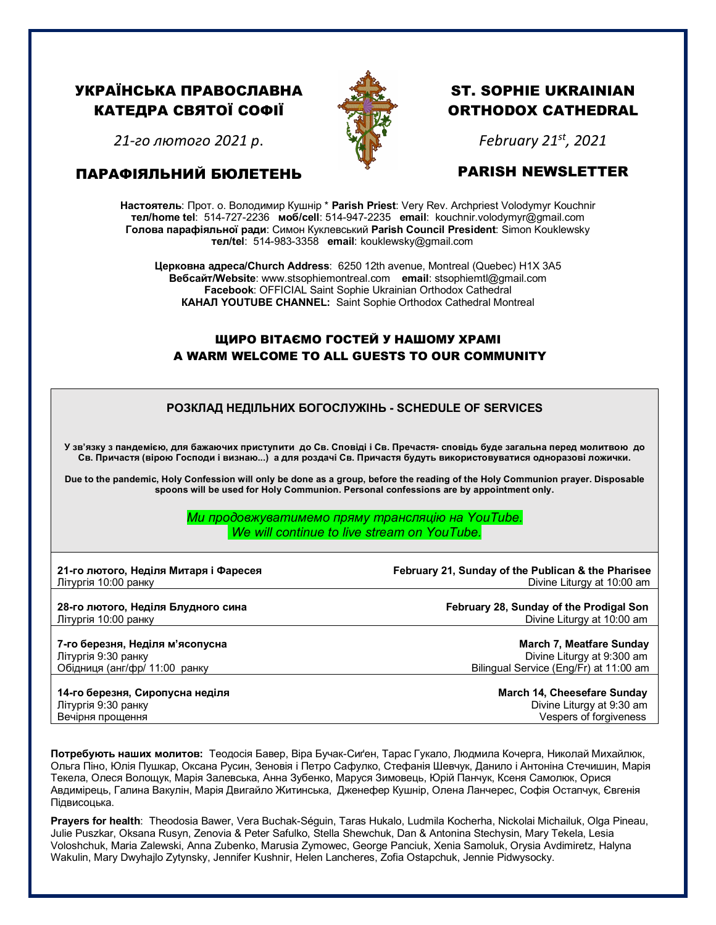## УКРАЇНСЬКА ПРАВОСЛАВНА КАТЕДРА СВЯТОЇ СОФІЇ



# ST. SOPHIE UKRAINIAN ORTHODOX CATHEDRAL

*February 21st, 2021*

## PARISH NEWSLETTER

**Настоятель**: Прот. о. Володимир Кушнір \* **Parish Priest**: Very Rev. Archpriest Volodymyr Kouchnir **тел/home tel**: 514-727-2236 **моб/cell**: 514-947-2235 **email**: kouchnir.volodymyr@gmail.com **Голова парафіяльної ради**: Симон Куклевський **Parish Council President**: Simon Kouklewsky  **тел/tel**: 514-983-3358 **email**: kouklewsky@gmail.com

**Церковна адреса/Church Address**: 6250 12th avenue, Montreal (Quebec) H1X 3A5 **Вебсайт/Website**: www.stsophiemontreal.com **email**: stsophiemtl@gmail.com **Facebook**: OFFICIAL Saint Sophie Ukrainian Orthodox Cathedral **КАНАЛ YOUTUBE CHANNEL:** Saint Sophie Orthodox Cathedral Montreal

## ЩИРО ВІТАЄМО ГОСТЕЙ У НАШОМУ ХРАМІ A WARM WELCOME TO ALL GUESTS TO OUR COMMUNITY

### **РОЗКЛАД НЕДІЛЬНИХ БОГОСЛУЖІНЬ - SCHEDULE OF SERVICES**

**У зв'язку з пандемією, для бажаючих приступити до Св. Сповіді і Св. Пречастя- сповідь буде загальна перед молитвою до Св. Причастя (вірою Господи і визнаю...) а для роздачі Св. Причастя будуть використовуватися одноразові ложички.**

**Due to the pandemic, Holy Confession will only be done as a group, before the reading of the Holy Communion prayer. Disposable spoons will be used for Holy Communion. Personal confessions are by appointment only.**

### *Ми продовжуватимемо пряму трансляцію на YouTube. We will continue to live stream on YouTube.*

**21-го лютого, Неділя Митаря і Фаресея February 21, Sunday of the Publican & the Pharisee** Літургія 10:00 ранкуDivine Liturgy at 10:00 am **28-го лютого, Неділя Блудного сина February 28, Sunday of the Prodigal Son** Літургія 10:00 ранкуDivine Liturgy at 10:00 am **7-го березня, Неділя м'ясопусна March 7, Meatfare Sunday** Літургія 9:30 ранкуDivine Liturgy at 9:300 am Bilingual Service (Eng/Fr) at 11:00 am

**14-го березня, Сиропусна неділя March 14, Cheesefare Sunday** Вечірня прощення Vespers of forgiveness

Літургія 9:30 ранкуDivine Liturgy at 9:30 am

**Потребують наших молитов:** Теодосія Бавер, Віра Бучак-Сиґен, Тарас Гукало, Людмила Кочерга, Николай Михайлюк, Ольгa Піно, Юлія Пушкар, Оксанa Русин, Зеновія і Петро Сафулко, Стефанія Шевчук, Данило і Антоніна Стечишин, Марія Текела, Олеся Волощук, Марія Залевська, Анна Зубенко, Маруся Зимовець, Юрій Панчук, Ксеня Самолюк, Орися Авдимірець, Галина Вакулін, Марія Двигайло Житинська, Дженефер Кушнір, Олена Ланчерес, Софія Остапчук, Євгенія Підвисоцька.

**Prayers for health**: Theodosia Bawer, Vera Buchak-Séguin, Taras Hukalo, Ludmila Kocherha, Nickolai Michailuk, Olga Pineau, Julie Puszkar, Oksana Rusyn, Zenovia & Peter Safulko, Stella Shewchuk, Dan & Antonina Stechysin, Mary Tekela, Lesia Voloshchuk, Maria Zalewski, Anna Zubenko, Marusia Zymowec, George Panciuk, Xenia Samoluk, Orysia Avdimiretz, Halyna Wakulin, Mary Dwyhajlo Zytynsky, Jennifer Kushnir, Helen Lancheres, Zofia Ostapchuk, Jennie Pidwysocky.



ПАРАФІЯЛЬНИЙ БЮЛЕТЕНЬ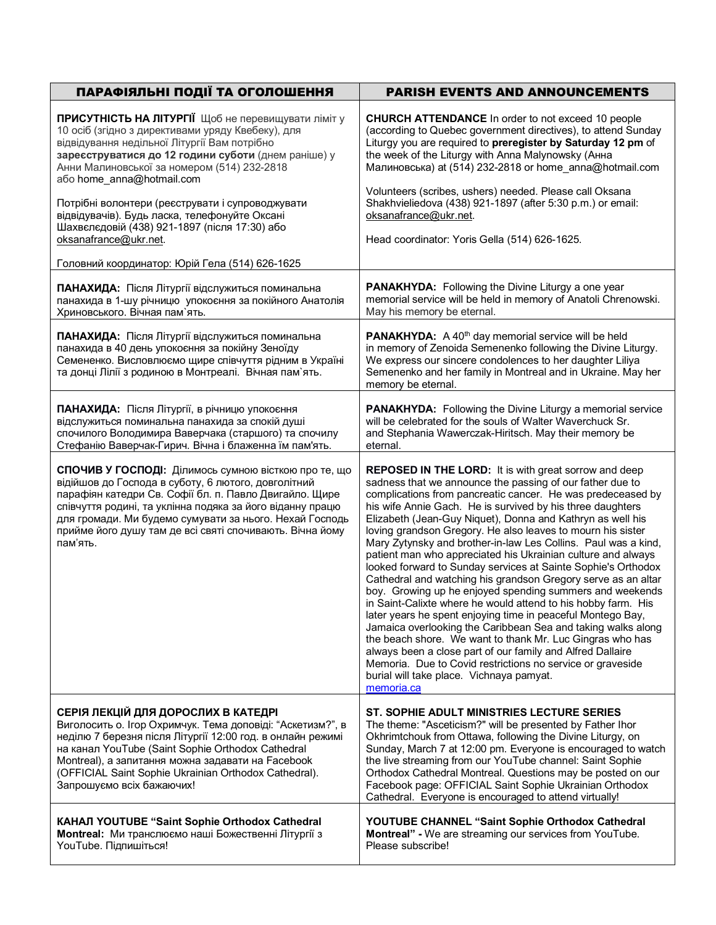| ПАРАФІЯЛЬНІ ПОДІЇ ТА ОГОЛОШЕННЯ                                                                                                                                                                                                                                                                                                                                       | <b>PARISH EVENTS AND ANNOUNCEMENTS</b>                                                                                                                                                                                                                                                                                                                                                                                                                                                                                                                                                                                                                                                                                                                                                                                                                                                                                                                                                                                                                                                                                                                                 |
|-----------------------------------------------------------------------------------------------------------------------------------------------------------------------------------------------------------------------------------------------------------------------------------------------------------------------------------------------------------------------|------------------------------------------------------------------------------------------------------------------------------------------------------------------------------------------------------------------------------------------------------------------------------------------------------------------------------------------------------------------------------------------------------------------------------------------------------------------------------------------------------------------------------------------------------------------------------------------------------------------------------------------------------------------------------------------------------------------------------------------------------------------------------------------------------------------------------------------------------------------------------------------------------------------------------------------------------------------------------------------------------------------------------------------------------------------------------------------------------------------------------------------------------------------------|
| ПРИСУТНІСТЬ НА ЛІТУРГІЇ Щоб не перевищувати ліміт у<br>10 осіб (згідно з директивами уряду Квебеку), для<br>відвідування недільної Літургії Вам потрібно<br>зареєструватися до 12 години суботи (днем раніше) у<br>Анни Малиновської за номером (514) 232-2818<br>aбo home_anna@hotmail.com                                                                           | <b>CHURCH ATTENDANCE</b> In order to not exceed 10 people<br>(according to Quebec government directives), to attend Sunday<br>Liturgy you are required to preregister by Saturday 12 pm of<br>the week of the Liturgy with Anna Malynowsky (Анна<br>Малиновська) at (514) 232-2818 or home_anna@hotmail.com                                                                                                                                                                                                                                                                                                                                                                                                                                                                                                                                                                                                                                                                                                                                                                                                                                                            |
| Потрібні волонтери (реєструвати і супроводжувати<br>відвідувачів). Будь ласка, телефонуйте Оксані<br>Шахвєлєдовій (438) 921-1897 (після 17:30) або                                                                                                                                                                                                                    | Volunteers (scribes, ushers) needed. Please call Oksana<br>Shakhvieliedova (438) 921-1897 (after 5:30 p.m.) or email:<br>oksanafrance@ukr.net.                                                                                                                                                                                                                                                                                                                                                                                                                                                                                                                                                                                                                                                                                                                                                                                                                                                                                                                                                                                                                         |
| oksanafrance@ukr.net.                                                                                                                                                                                                                                                                                                                                                 | Head coordinator: Yoris Gella (514) 626-1625.                                                                                                                                                                                                                                                                                                                                                                                                                                                                                                                                                                                                                                                                                                                                                                                                                                                                                                                                                                                                                                                                                                                          |
| Головний координатор: Юрій Гела (514) 626-1625<br>ПАНАХИДА: Після Літургії відслужиться поминальна<br>панахида в 1-шу річницю упокоєння за покійного Анатолія<br>Хриновського. Вічная пам'ять.                                                                                                                                                                        | <b>PANAKHYDA:</b> Following the Divine Liturgy a one year<br>memorial service will be held in memory of Anatoli Chrenowski.<br>May his memory be eternal.                                                                                                                                                                                                                                                                                                                                                                                                                                                                                                                                                                                                                                                                                                                                                                                                                                                                                                                                                                                                              |
| ПАНАХИДА: Після Літургії відслужиться поминальна<br>панахида в 40 день упокоєння за покійну Зеноїду<br>Семененко. Висловлюємо щире співчуття рідним в Україні<br>та донці Лілії з родиною в Монтреалі. Вічная пам'ять.                                                                                                                                                | PANAKHYDA: A 40 <sup>th</sup> day memorial service will be held<br>in memory of Zenoida Semenenko following the Divine Liturgy.<br>We express our sincere condolences to her daughter Liliya<br>Semenenko and her family in Montreal and in Ukraine. May her<br>memory be eternal.                                                                                                                                                                                                                                                                                                                                                                                                                                                                                                                                                                                                                                                                                                                                                                                                                                                                                     |
| ПАНАХИДА: Після Літургії, в річницю упокоєння<br>відслужиться поминальна панахида за спокій душі<br>спочилого Володимира Ваверчака (старшого) та спочилу<br>Стефанію Ваверчак-Гирич. Вічна і блаженна їм пам'ять.                                                                                                                                                     | <b>PANAKHYDA:</b> Following the Divine Liturgy a memorial service<br>will be celebrated for the souls of Walter Waverchuck Sr.<br>and Stephania Wawerczak-Hiritsch. May their memory be<br>eternal.                                                                                                                                                                                                                                                                                                                                                                                                                                                                                                                                                                                                                                                                                                                                                                                                                                                                                                                                                                    |
| СПОЧИВ У ГОСПОДІ: Ділимось сумною вісткою про те, що<br>відійшов до Господа в суботу, 6 лютого, довголітний<br>парафіян катедри Св. Софії бл. п. Павло Двигайло. Щире<br>співчуття родині, та уклінна подяка за його віданну працю<br>для громади. Ми будемо сумувати за нього. Нехай Господь<br>прийме його душу там де всі святі спочивають. Вічна йому<br>пам'ять. | <b>REPOSED IN THE LORD:</b> It is with great sorrow and deep<br>sadness that we announce the passing of our father due to<br>complications from pancreatic cancer. He was predeceased by<br>his wife Annie Gach. He is survived by his three daughters<br>Elizabeth (Jean-Guy Niquet), Donna and Kathryn as well his<br>loving grandson Gregory. He also leaves to mourn his sister<br>Mary Zytynsky and brother-in-law Les Collins. Paul was a kind,<br>patient man who appreciated his Ukrainian culture and always<br>looked forward to Sunday services at Sainte Sophie's Orthodox<br>Cathedral and watching his grandson Gregory serve as an altar<br>boy. Growing up he enjoyed spending summers and weekends<br>in Saint-Calixte where he would attend to his hobby farm. His<br>later years he spent enjoying time in peaceful Montego Bay,<br>Jamaica overlooking the Caribbean Sea and taking walks along<br>the beach shore. We want to thank Mr. Luc Gingras who has<br>always been a close part of our family and Alfred Dallaire<br>Memoria. Due to Covid restrictions no service or graveside<br>burial will take place. Vichnaya pamyat.<br>memoria.ca |
| СЕРІЯ ЛЕКЦІЙ ДЛЯ ДОРОСЛИХ В КАТЕДРІ<br>Виголосить о. Ігор Охримчук. Тема доповіді: "Аскетизм?", в<br>неділю 7 березня після Літургії 12:00 год. в онлайн режимі<br>на канал YouTube (Saint Sophie Orthodox Cathedral<br>Montreal), а запитання можна задавати на Facebook<br>(OFFICIAL Saint Sophie Ukrainian Orthodox Cathedral).<br>Запрошуємо всіх бажаючих!       | ST. SOPHIE ADULT MINISTRIES LECTURE SERIES<br>The theme: "Asceticism?" will be presented by Father Ihor<br>Okhrimtchouk from Ottawa, following the Divine Liturgy, on<br>Sunday, March 7 at 12:00 pm. Everyone is encouraged to watch<br>the live streaming from our YouTube channel: Saint Sophie<br>Orthodox Cathedral Montreal. Questions may be posted on our<br>Facebook page: OFFICIAL Saint Sophie Ukrainian Orthodox<br>Cathedral. Everyone is encouraged to attend virtually!                                                                                                                                                                                                                                                                                                                                                                                                                                                                                                                                                                                                                                                                                 |
| КАНАЛ YOUTUBE "Saint Sophie Orthodox Cathedral<br>Montreal: Ми транслюємо наші Божественні Літургії з<br>YouTube. Підпишіться!                                                                                                                                                                                                                                        | YOUTUBE CHANNEL "Saint Sophie Orthodox Cathedral<br>Montreal" - We are streaming our services from YouTube.<br>Please subscribe!                                                                                                                                                                                                                                                                                                                                                                                                                                                                                                                                                                                                                                                                                                                                                                                                                                                                                                                                                                                                                                       |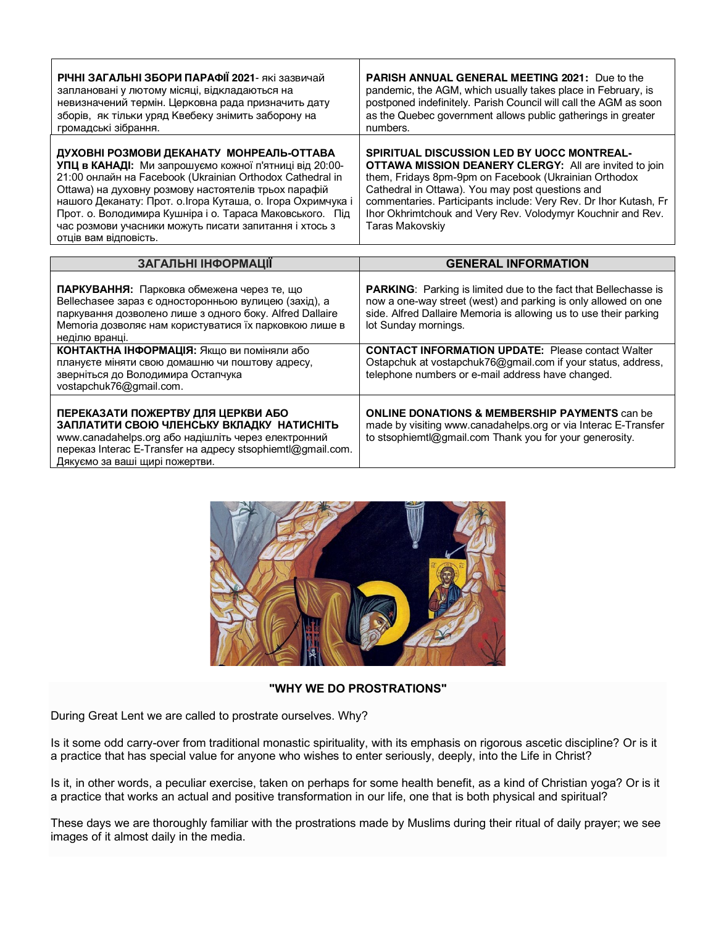| РІЧНІ ЗАГАЛЬНІ ЗБОРИ ПАРАФІЇ 2021- які зазвичай                                                                                                                                                                                                                                                                                                                                                                                        | <b>PARISH ANNUAL GENERAL MEETING 2021: Due to the</b>                                                                                                                                                                                                                                                                                                                                 |
|----------------------------------------------------------------------------------------------------------------------------------------------------------------------------------------------------------------------------------------------------------------------------------------------------------------------------------------------------------------------------------------------------------------------------------------|---------------------------------------------------------------------------------------------------------------------------------------------------------------------------------------------------------------------------------------------------------------------------------------------------------------------------------------------------------------------------------------|
| заплановані у лютому місяці, відкладаються на                                                                                                                                                                                                                                                                                                                                                                                          | pandemic, the AGM, which usually takes place in February, is                                                                                                                                                                                                                                                                                                                          |
| невизначений термін. Церковна рада призначить дату                                                                                                                                                                                                                                                                                                                                                                                     | postponed indefinitely. Parish Council will call the AGM as soon                                                                                                                                                                                                                                                                                                                      |
| зборів, як тільки уряд Квебеку знімить заборону на                                                                                                                                                                                                                                                                                                                                                                                     | as the Quebec government allows public gatherings in greater                                                                                                                                                                                                                                                                                                                          |
| громадські зібрання.                                                                                                                                                                                                                                                                                                                                                                                                                   | numbers.                                                                                                                                                                                                                                                                                                                                                                              |
| ДУХОВНІ РОЗМОВИ ДЕКАНАТУ МОНРЕАЛЬ-ОТТАВА<br>УПЦ в КАНАДІ: Ми запрошуємо кожної п'ятниці від 20:00-<br>21:00 онлайн на Facebook (Ukrainian Orthodox Cathedral in<br>Ottawa) на духовну розмову настоятелів трьох парафій<br>нашого Деканату: Прот. о. Ігора Куташа, о. Ігора Охримчука і<br>Прот. о. Володимира Кушніра і о. Тараса Маковського. Під<br>час розмови учасники можуть писати запитання і хтось з<br>отців вам відповість. | <b>SPIRITUAL DISCUSSION LED BY UOCC MONTREAL-</b><br><b>OTTAWA MISSION DEANERY CLERGY:</b> All are invited to join<br>them, Fridays 8pm-9pm on Facebook (Ukrainian Orthodox<br>Cathedral in Ottawa). You may post questions and<br>commentaries. Participants include: Very Rev. Dr Ihor Kutash, Fr<br>Ihor Okhrimtchouk and Very Rev. Volodymyr Kouchnir and Rev.<br>Taras Makovskiy |

| ЗАГАЛЬНІ ІНФОРМАЦІЇ                                                                                                                                                                                                                         | <b>GENERAL INFORMATION</b>                                                                                                                                                                                                            |
|---------------------------------------------------------------------------------------------------------------------------------------------------------------------------------------------------------------------------------------------|---------------------------------------------------------------------------------------------------------------------------------------------------------------------------------------------------------------------------------------|
| ПАРКУВАННЯ: Парковка обмежена через те, що<br>Bellechasee зараз є односторонньою вулицею (захід), а<br>паркування дозволено лише з одного боку. Alfred Dallaire<br>Memoria дозволяє нам користуватися їх парковкою лише в<br>неділю вранці. | <b>PARKING:</b> Parking is limited due to the fact that Bellechasse is<br>now a one-way street (west) and parking is only allowed on one<br>side. Alfred Dallaire Memoria is allowing us to use their parking<br>lot Sunday mornings. |
| КОНТАКТНА ІНФОРМАЦІЯ: Якщо ви поміняли або<br>плануєте міняти свою домашню чи поштову адресу,<br>зверніться до Володимира Остапчука<br>vostapchuk76@gmail.com.                                                                              | <b>CONTACT INFORMATION UPDATE:</b> Please contact Walter<br>Ostapchuk at vostapchuk76@gmail.com if your status, address,<br>telephone numbers or e-mail address have changed.                                                         |
| ПЕРЕКАЗАТИ ПОЖЕРТВУ ДЛЯ ЦЕРКВИ АБО<br>ЗАПЛАТИТИ СВОЮ ЧЛЕНСЬКУ ВКЛАДКУ НАТИСНІТЬ<br>www.canadahelps.org або надішліть через електронний<br>переказ Interac E-Transfer на адресу stsophiemtl@gmail.com.<br>Дякуємо за ваші щирі пожертви.     | <b>ONLINE DONATIONS &amp; MEMBERSHIP PAYMENTS can be</b><br>made by visiting www.canadahelps.org or via Interac E-Transfer<br>to stsophiemtl@gmail.com Thank you for your generosity.                                                 |



#### **"WHY WE DO PROSTRATIONS"**

During Great Lent we are called to prostrate ourselves. Why?

Is it some odd carry-over from traditional monastic spirituality, with its emphasis on rigorous ascetic discipline? Or is it a practice that has special value for anyone who wishes to enter seriously, deeply, into the Life in Christ?

Is it, in other words, a peculiar exercise, taken on perhaps for some health benefit, as a kind of Christian yoga? Or is it a practice that works an actual and positive transformation in our life, one that is both physical and spiritual?

These days we are thoroughly familiar with the prostrations made by Muslims during their ritual of daily prayer; we see images of it almost daily in the media.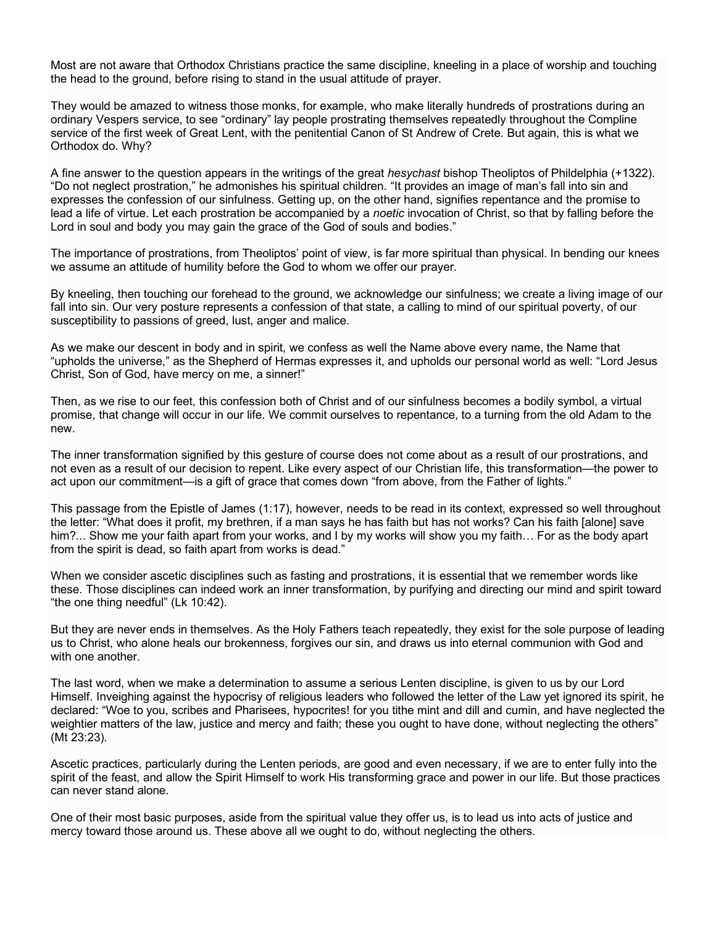Most are not aware that Orthodox Christians practice the same discipline, kneeling in a place of worship and touching the head to the ground, before rising to stand in the usual attitude of prayer.

They would be amazed to witness those monks, for example, who make literally hundreds of prostrations during an ordinary Vespers service, to see "ordinary" lay people prostrating themselves repeatedly throughout the Compline service of the first week of Great Lent, with the penitential Canon of St Andrew of Crete. But again, this is what we Orthodox do. Why?

A fine answer to the question appears in the writings of the great *hesychast* bishop Theoliptos of Phildelphia (+1322). "Do not neglect prostration," he admonishes his spiritual children. "It provides an image of man's fall into sin and expresses the confession of our sinfulness. Getting up, on the other hand, signifies repentance and the promise to lead a life of virtue. Let each prostration be accompanied by a *noetic* invocation of Christ, so that by falling before the Lord in soul and body you may gain the grace of the God of souls and bodies."

The importance of prostrations, from Theoliptos' point of view, is far more spiritual than physical. In bending our knees we assume an attitude of humility before the God to whom we offer our prayer.

By kneeling, then touching our forehead to the ground, we acknowledge our sinfulness; we create a living image of our fall into sin. Our very posture represents a confession of that state, a calling to mind of our spiritual poverty, of our susceptibility to passions of greed, lust, anger and malice.

As we make our descent in body and in spirit, we confess as well the Name above every name, the Name that "upholds the universe," as the Shepherd of Hermas expresses it, and upholds our personal world as well: "Lord Jesus Christ, Son of God, have mercy on me, a sinner!"

Then, as we rise to our feet, this confession both of Christ and of our sinfulness becomes a bodily symbol, a virtual promise, that change will occur in our life. We commit ourselves to repentance, to a turning from the old Adam to the new.

The inner transformation signified by this gesture of course does not come about as a result of our prostrations, and not even as a result of our decision to repent. Like every aspect of our Christian life, this transformation—the power to act upon our commitment—is a gift of grace that comes down "from above, from the Father of lights."

This passage from the Epistle of James (1:17), however, needs to be read in its context, expressed so well throughout the letter: "What does it profit, my brethren, if a man says he has faith but has not works? Can his faith [alone] save him?... Show me your faith apart from your works, and I by my works will show you my faith… For as the body apart from the spirit is dead, so faith apart from works is dead."

When we consider ascetic disciplines such as fasting and prostrations, it is essential that we remember words like these. Those disciplines can indeed work an inner transformation, by purifying and directing our mind and spirit toward "the one thing needful" (Lk 10:42).

But they are never ends in themselves. As the Holy Fathers teach repeatedly, they exist for the sole purpose of leading us to Christ, who alone heals our brokenness, forgives our sin, and draws us into eternal communion with God and with one another.

The last word, when we make a determination to assume a serious Lenten discipline, is given to us by our Lord Himself. Inveighing against the hypocrisy of religious leaders who followed the letter of the Law yet ignored its spirit, he declared: "Woe to you, scribes and Pharisees, hypocrites! for you tithe mint and dill and cumin, and have neglected the weightier matters of the law, justice and mercy and faith; these you ought to have done, without neglecting the others" (Mt 23:23).

Ascetic practices, particularly during the Lenten periods, are good and even necessary, if we are to enter fully into the spirit of the feast, and allow the Spirit Himself to work His transforming grace and power in our life. But those practices can never stand alone.

One of their most basic purposes, aside from the spiritual value they offer us, is to lead us into acts of justice and mercy toward those around us. These above all we ought to do, without neglecting the others.